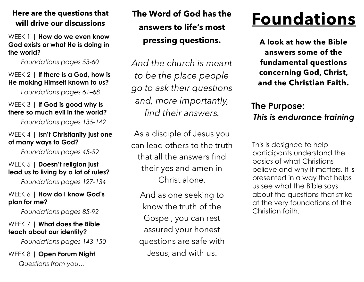### **Here are the questions that will drive our discussions**

WEEK 1 | **How do we even know God exists or what He is doing in the world?** 

*Foundations pages 53-60*

### WEEK 2 | **If there is a God, how is He making Himself known to us?**

*Foundations pages 61–68*

### WEEK 3 | **If God is good why is there so much evil in the world?**

*Foundations pages 135-142*

### WEEK 4 | **Isn't Christianity just one of many ways to God?**

*Foundations pages 45-5*2

### WEEK 5 | **Doesn't religion just lead us to living by a lot of rules?**

*Foundations pages 127-134*

### WEEK 6 | **How do I know God's plan for me?**

*Foundations pages 85-92*

### WEEK 7 | **What does the Bible teach about our identity?**

*Foundations pages 143-150*

WEEK 8 | **Open Forum Night** *Questions from you…*

# **The Word of God has the answers to life's most pressing questions.**

*And the church is meant to be the place people go to ask their questions and, more importantly, find their answers.* 

As a disciple of Jesus you can lead others to the truth that all the answers find their yes and amen in Christ alone.

And as one seeking to know the truth of the Gospel, you can rest assured your honest questions are safe with Jesus, and with us.

# **Foundations**

**A look at how the Bible answers some of the fundamental questions concerning God, Christ, and the Christian Faith.**

# **The Purpose:** *This is endurance training*

This is designed to help participants understand the basics of what Christians believe and why it matters. It is presented in a way that helps us see what the Bible says about the questions that strike at the very foundations of the Christian faith.